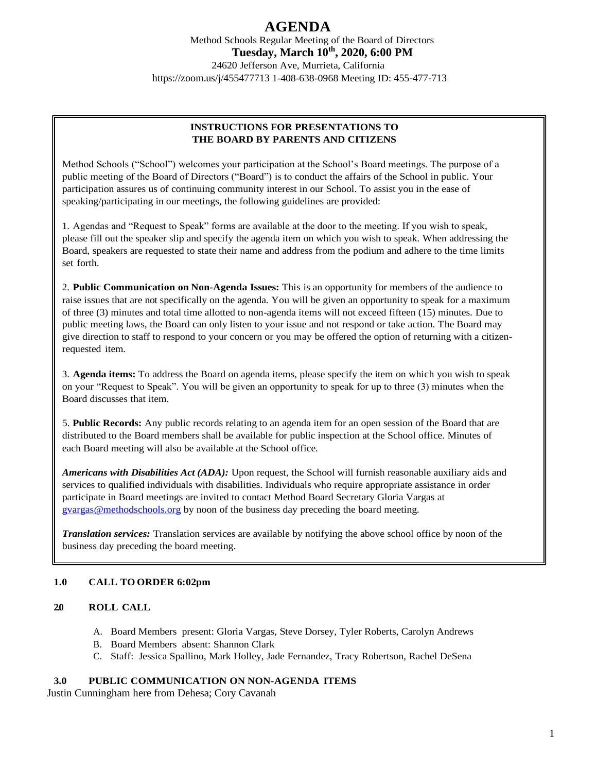Method Schools Regular Meeting of the Board of Directors **Tuesday, March 10th, 2020, 6:00 PM** 24620 Jefferson Ave, Murrieta, California <https://zoom.us/j/455477713> 1-408-638-0968 Meeting ID: 455-477-713

## **INSTRUCTIONS FOR PRESENTATIONS TO THE BOARD BY PARENTS AND CITIZENS**

Method Schools ("School") welcomes your participation at the School's Board meetings. The purpose of a public meeting of the Board of Directors ("Board") is to conduct the affairs of the School in public. Your participation assures us of continuing community interest in our School. To assist you in the ease of speaking/participating in our meetings, the following guidelines are provided:

1. Agendas and "Request to Speak" forms are available at the door to the meeting. If you wish to speak, please fill out the speaker slip and specify the agenda item on which you wish to speak. When addressing the Board, speakers are requested to state their name and address from the podium and adhere to the time limits set forth.

2. **Public Communication on Non-Agenda Issues:** This is an opportunity for members of the audience to raise issues that are not specifically on the agenda. You will be given an opportunity to speak for a maximum of three (3) minutes and total time allotted to non-agenda items will not exceed fifteen (15) minutes. Due to public meeting laws, the Board can only listen to your issue and not respond or take action. The Board may give direction to staff to respond to your concern or you may be offered the option of returning with a citizenrequested item.

3. **Agenda items:** To address the Board on agenda items, please specify the item on which you wish to speak on your "Request to Speak". You will be given an opportunity to speak for up to three (3) minutes when the Board discusses that item.

5. **Public Records:** Any public records relating to an agenda item for an open session of the Board that are distributed to the Board members shall be available for public inspection at the School office. Minutes of each Board meeting will also be available at the School office.

*Americans with Disabilities Act (ADA):* Upon request, the School will furnish reasonable auxiliary aids and services to qualified individuals with disabilities. Individuals who require appropriate assistance in order participate in Board meetings are invited to contact Method Board Secretary Gloria Vargas at [gvargas@methodschools.org](mailto:gvargas@methodschools.org) by noon of the business day preceding the board meeting.

*Translation services:* Translation services are available by notifying the above school office by noon of the business day preceding the board meeting.

## **1.0 CALL TO ORDER 6:02pm**

### **2.0 ROLL CALL**

- A. Board Members present: Gloria Vargas, Steve Dorsey, Tyler Roberts, Carolyn Andrews
- B. Board Members absent: Shannon Clark
- C. Staff: Jessica Spallino, Mark Holley, Jade Fernandez, Tracy Robertson, Rachel DeSena

## **3.0 PUBLIC COMMUNICATION ON NON-AGENDA ITEMS**

Justin Cunningham here from Dehesa; Cory Cavanah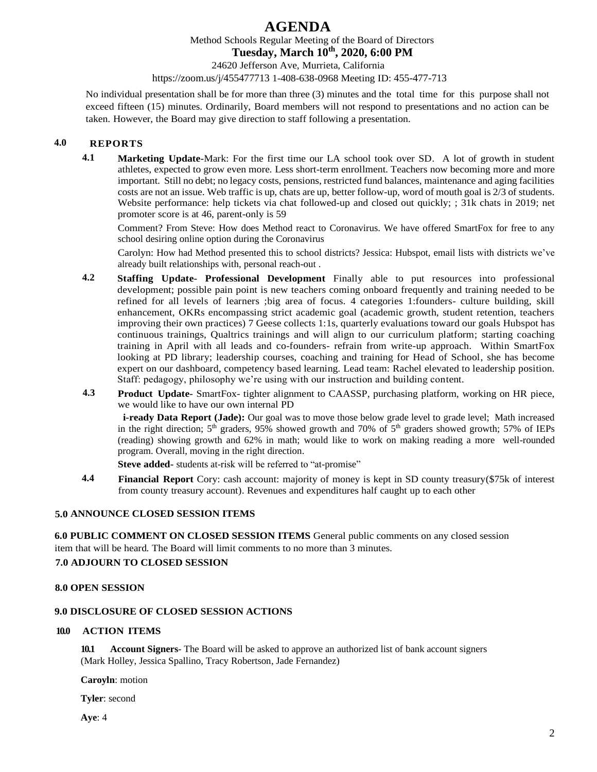Method Schools Regular Meeting of the Board of Directors

**Tuesday, March 10th, 2020, 6:00 PM**

24620 Jefferson Ave, Murrieta, California

<https://zoom.us/j/455477713> 1-408-638-0968 Meeting ID: 455-477-713

No individual presentation shall be for more than three (3) minutes and the total time for this purpose shall not exceed fifteen (15) minutes. Ordinarily, Board members will not respond to presentations and no action can be taken. However, the Board may give direction to staff following a presentation.

## **4.0 REPORTS**

**4.1 Marketing Update-**Mark: For the first time our LA school took over SD. A lot of growth in student athletes, expected to grow even more. Less short-term enrollment. Teachers now becoming more and more important. Still no debt; no legacy costs, pensions, restricted fund balances, maintenance and aging facilities costs are not an issue. Web traffic is up, chats are up, better follow-up, word of mouth goal is 2/3 of students. Website performance: help tickets via chat followed-up and closed out quickly; ; 31k chats in 2019; net promoter score is at 46, parent-only is 59

Comment? From Steve: How does Method react to Coronavirus. We have offered SmartFox for free to any school desiring online option during the Coronavirus

Carolyn: How had Method presented this to school districts? Jessica: Hubspot, email lists with districts we've already built relationships with, personal reach-out .

- **4.2 Staffing Update- Professional Development** Finally able to put resources into professional development; possible pain point is new teachers coming onboard frequently and training needed to be refined for all levels of learners ;big area of focus. 4 categories 1:founders- culture building, skill enhancement, OKRs encompassing strict academic goal (academic growth, student retention, teachers improving their own practices) 7 Geese collects 1:1s, quarterly evaluations toward our goals Hubspot has continuous trainings, Qualtrics trainings and will align to our curriculum platform; starting coaching training in April with all leads and co-founders- refrain from write-up approach. Within SmartFox looking at PD library; leadership courses, coaching and training for Head of School, she has become expert on our dashboard, competency based learning. Lead team: Rachel elevated to leadership position. Staff: pedagogy, philosophy we're using with our instruction and building content.
- **4.3 Product Update-** SmartFox- tighter alignment to CAASSP, purchasing platform, working on HR piece, we would like to have our own internal PD

**i-ready Data Report (Jade):** Our goal was to move those below grade level to grade level; Math increased in the right direction;  $5<sup>th</sup>$  graders, 95% showed growth and 70% of  $5<sup>th</sup>$  graders showed growth; 57% of IEPs (reading) showing growth and 62% in math; would like to work on making reading a more well-rounded program. Overall, moving in the right direction.

**Steve added-** students at-risk will be referred to "at-promise"

**4.4 Financial Report** Cory: cash account: majority of money is kept in SD county treasury(\$75k of interest from county treasury account). Revenues and expenditures half caught up to each other

### **5.0 ANNOUNCE CLOSED SESSION ITEMS**

**6.0 PUBLIC COMMENT ON CLOSED SESSION ITEMS** General public comments on any closed session item that will be heard. The Board will limit comments to no more than 3 minutes.

## **7.0 ADJOURN TO CLOSED SESSION**

### **8.0 OPEN SESSION**

### **9.0 DISCLOSURE OF CLOSED SESSION ACTIONS**

#### **10.0 ACTION ITEMS**

**10.1 Account Signers**- The Board will be asked to approve an authorized list of bank account signers (Mark Holley, Jessica Spallino, Tracy Robertson, Jade Fernandez)

**Caroyln**: motion

**Tyler**: second

**Aye**: 4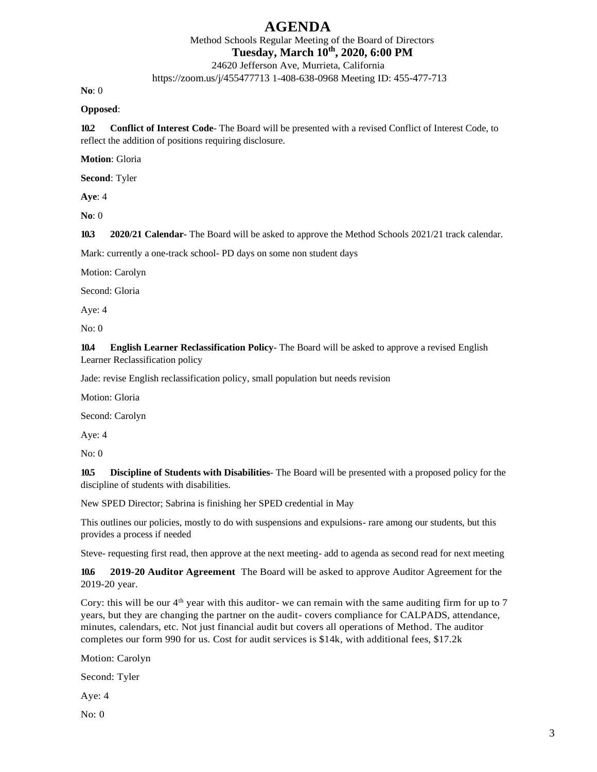Method Schools Regular Meeting of the Board of Directors **Tuesday, March 10th, 2020, 6:00 PM**

24620 Jefferson Ave, Murrieta, California

<https://zoom.us/j/455477713> 1-408-638-0968 Meeting ID: 455-477-713

**No**: 0

#### **Opposed**:

**10.2 Conflict of Interest Code**- The Board will be presented with a revised Conflict of Interest Code, to reflect the addition of positions requiring disclosure.

**Motion**: Gloria

**Second**: Tyler

**Aye**: 4

**No**: 0

**10.3 2020/21 Calendar-** The Board will be asked to approve the Method Schools 2021/21 track calendar.

Mark: currently a one-track school- PD days on some non student days

Motion: Carolyn

Second: Gloria

Aye: 4

No: 0

**10.4 English Learner Reclassification Policy**- The Board will be asked to approve a revised English Learner Reclassification policy

Jade: revise English reclassification policy, small population but needs revision

Motion: Gloria

Second: Carolyn

Aye: 4

No: 0

**10.5 Discipline of Students with Disabilities**- The Board will be presented with a proposed policy for the discipline of students with disabilities.

New SPED Director; Sabrina is finishing her SPED credential in May

This outlines our policies, mostly to do with suspensions and expulsions- rare among our students, but this provides a process if needed

Steve- requesting first read, then approve at the next meeting- add to agenda as second read for next meeting

**10.6 2019-20 Auditor Agreement** The Board will be asked to approve Auditor Agreement for the 2019-20 year.

Cory: this will be our 4<sup>th</sup> year with this auditor- we can remain with the same auditing firm for up to 7 years, but they are changing the partner on the audit- covers compliance for CALPADS, attendance, minutes, calendars, etc. Not just financial audit but covers all operations of Method. The auditor completes our form 990 for us. Cost for audit services is \$14k, with additional fees, \$17.2k

Motion: Carolyn

Second: Tyler

Aye: 4

No: 0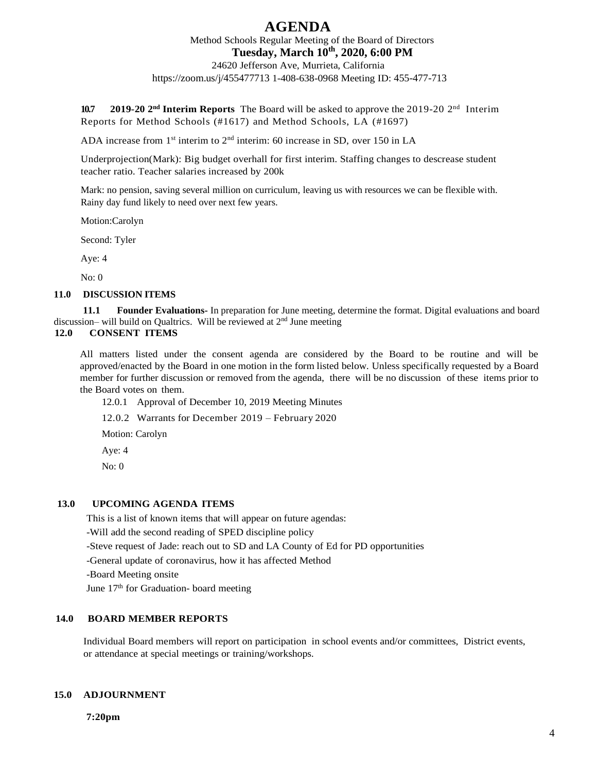Method Schools Regular Meeting of the Board of Directors **Tuesday, March 10th, 2020, 6:00 PM**

24620 Jefferson Ave, Murrieta, California <https://zoom.us/j/455477713> 1-408-638-0968 Meeting ID: 455-477-713

10.7 **2019-20 2<sup>nd</sup> Interim Reports** The Board will be asked to approve the 2019-20 2<sup>nd</sup> Interim Reports for Method Schools (#1617) and Method Schools, LA (#1697)

ADA increase from  $1<sup>st</sup>$  interim to  $2<sup>nd</sup>$  interim: 60 increase in SD, over 150 in LA

Underprojection(Mark): Big budget overhall for first interim. Staffing changes to descrease student teacher ratio. Teacher salaries increased by 200k

Mark: no pension, saving several million on curriculum, leaving us with resources we can be flexible with. Rainy day fund likely to need over next few years.

Motion:Carolyn

Second: Tyler

Aye: 4

No: 0

#### **11.0 DISCUSSION ITEMS**

**11.1 Founder Evaluations-** In preparation for June meeting, determine the format. Digital evaluations and board discussion– will build on Qualtrics. Will be reviewed at 2<sup>nd</sup> June meeting

## **12.0 CONSENT ITEMS**

All matters listed under the consent agenda are considered by the Board to be routine and will be approved/enacted by the Board in one motion in the form listed below. Unless specifically requested by a Board member for further discussion or removed from the agenda, there will be no discussion of these items prior to the Board votes on them.

- 12.0.1 Approval of December 10, 2019 Meeting Minutes
- 12.0.2 Warrants for December 2019 February 2020

Motion: Carolyn

Aye: 4

No: 0

#### **13.0 UPCOMING AGENDA ITEMS**

This is a list of known items that will appear on future agendas:

-Will add the second reading of SPED discipline policy

-Steve request of Jade: reach out to SD and LA County of Ed for PD opportunities

-General update of coronavirus, how it has affected Method

-Board Meeting onsite

June 17<sup>th</sup> for Graduation- board meeting

## **14.0 BOARD MEMBER REPORTS**

Individual Board members will report on participation in school events and/or committees, District events, or attendance at special meetings or training/workshops.

#### **15.0 ADJOURNMENT**

 **7:20pm**